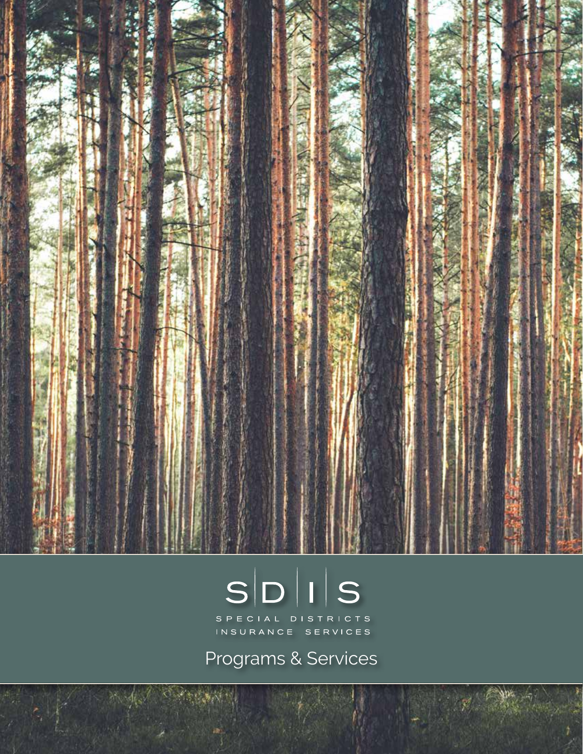

# $S|D|I|S$

SPECIAL DISTRICTS<br>INSURANCE SERVICES

Programs & Services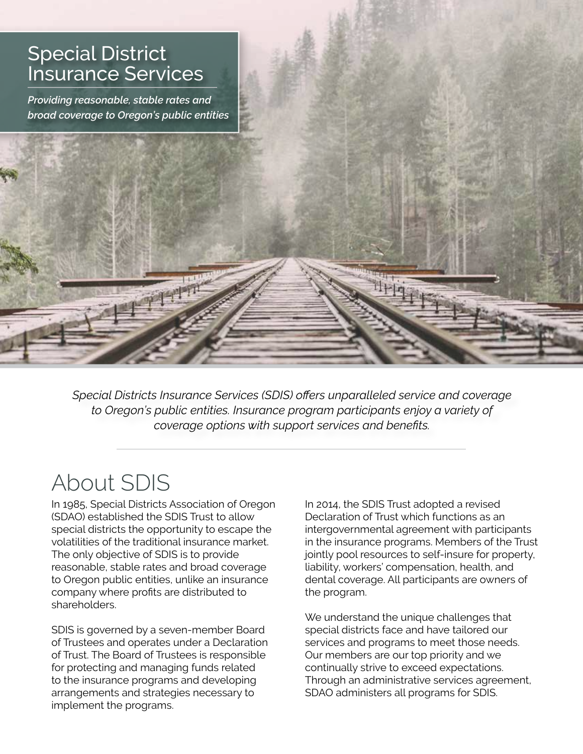

*Special Districts Insurance Services (SDIS) offers unparalleled service and coverage to Oregon's public entities. Insurance program participants enjoy a variety of coverage options with support services and benefits.*

# About SDIS

In 1985, Special Districts Association of Oregon (SDAO) established the SDIS Trust to allow special districts the opportunity to escape the volatilities of the traditional insurance market. The only objective of SDIS is to provide reasonable, stable rates and broad coverage to Oregon public entities, unlike an insurance company where profits are distributed to shareholders.

SDIS is governed by a seven-member Board of Trustees and operates under a Declaration of Trust. The Board of Trustees is responsible for protecting and managing funds related to the insurance programs and developing arrangements and strategies necessary to implement the programs.

In 2014, the SDIS Trust adopted a revised Declaration of Trust which functions as an intergovernmental agreement with participants in the insurance programs. Members of the Trust jointly pool resources to self-insure for property, liability, workers' compensation, health, and dental coverage. All participants are owners of the program.

We understand the unique challenges that special districts face and have tailored our services and programs to meet those needs. Our members are our top priority and we continually strive to exceed expectations. Through an administrative services agreement, SDAO administers all programs for SDIS.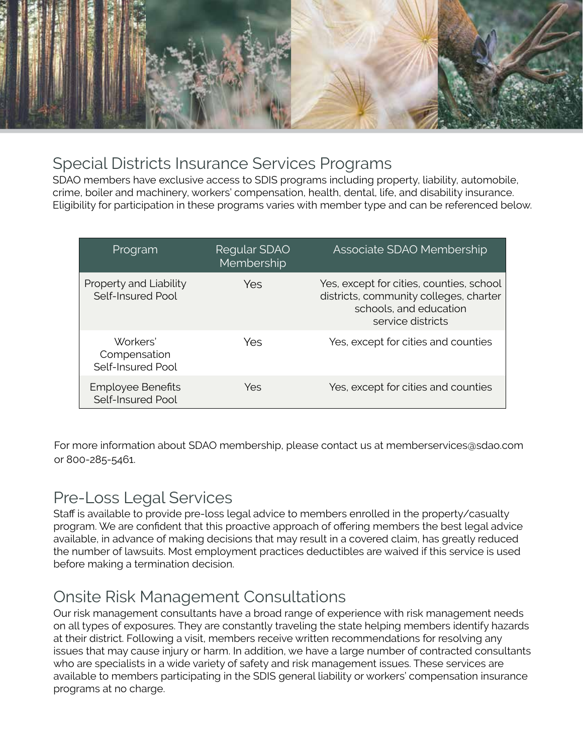

## Special Districts Insurance Services Programs

SDAO members have exclusive access to SDIS programs including property, liability, automobile, crime, boiler and machinery, workers' compensation, health, dental, life, and disability insurance. Eligibility for participation in these programs varies with member type and can be referenced below.

| Program                                       | Regular SDAO<br>Membership | Associate SDAO Membership                                                                                                         |
|-----------------------------------------------|----------------------------|-----------------------------------------------------------------------------------------------------------------------------------|
| Property and Liability<br>Self-Insured Pool   | Yes                        | Yes, except for cities, counties, school<br>districts, community colleges, charter<br>schools, and education<br>service districts |
| Workers'<br>Compensation<br>Self-Insured Pool | Yes                        | Yes, except for cities and counties                                                                                               |
| <b>Employee Benefits</b><br>Self-Insured Pool | Yes                        | Yes, except for cities and counties                                                                                               |

For more information about SDAO membership, please contact us at memberservices@sdao.com or 800-285-5461.

# Pre-Loss Legal Services

Staff is available to provide pre-loss legal advice to members enrolled in the property/casualty program. We are confident that this proactive approach of offering members the best legal advice available, in advance of making decisions that may result in a covered claim, has greatly reduced the number of lawsuits. Most employment practices deductibles are waived if this service is used before making a termination decision.

# Onsite Risk Management Consultations

Our risk management consultants have a broad range of experience with risk management needs on all types of exposures. They are constantly traveling the state helping members identify hazards at their district. Following a visit, members receive written recommendations for resolving any issues that may cause injury or harm. In addition, we have a large number of contracted consultants who are specialists in a wide variety of safety and risk management issues. These services are available to members participating in the SDIS general liability or workers' compensation insurance programs at no charge.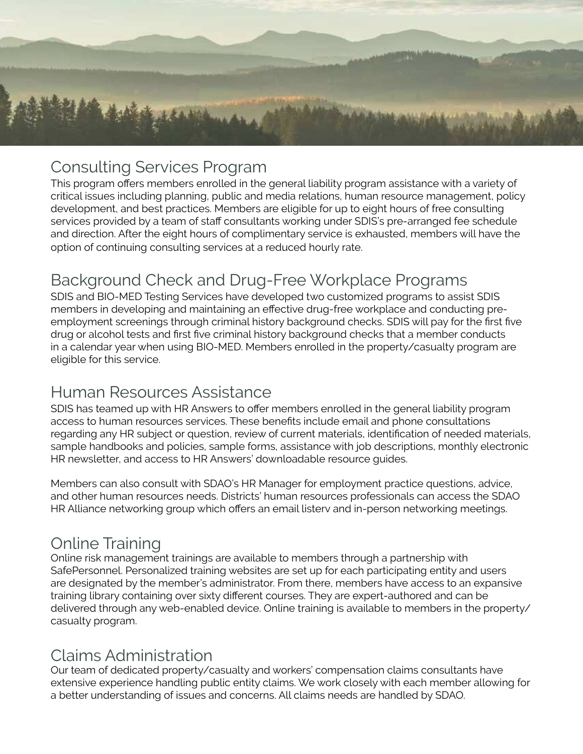

## Consulting Services Program

This program offers members enrolled in the general liability program assistance with a variety of critical issues including planning, public and media relations, human resource management, policy development, and best practices. Members are eligible for up to eight hours of free consulting services provided by a team of staff consultants working under SDIS's pre-arranged fee schedule and direction. After the eight hours of complimentary service is exhausted, members will have the option of continuing consulting services at a reduced hourly rate.

# Background Check and Drug-Free Workplace Programs

SDIS and BIO-MED Testing Services have developed two customized programs to assist SDIS members in developing and maintaining an effective drug-free workplace and conducting preemployment screenings through criminal history background checks. SDIS will pay for the first five drug or alcohol tests and first five criminal history background checks that a member conducts in a calendar year when using BIO-MED. Members enrolled in the property/casualty program are eligible for this service.

### Human Resources Assistance

SDIS has teamed up with HR Answers to offer members enrolled in the general liability program access to human resources services. These benefits include email and phone consultations regarding any HR subject or question, review of current materials, identification of needed materials, sample handbooks and policies, sample forms, assistance with job descriptions, monthly electronic HR newsletter, and access to HR Answers' downloadable resource guides.

Members can also consult with SDAO's HR Manager for employment practice questions, advice, and other human resources needs. Districts' human resources professionals can access the SDAO HR Alliance networking group which offers an email listerv and in-person networking meetings.

### Online Training

Online risk management trainings are available to members through a partnership with SafePersonnel. Personalized training websites are set up for each participating entity and users are designated by the member's administrator. From there, members have access to an expansive training library containing over sixty different courses. They are expert-authored and can be delivered through any web-enabled device. Online training is available to members in the property/ casualty program.

### Claims Administration

Our team of dedicated property/casualty and workers' compensation claims consultants have extensive experience handling public entity claims. We work closely with each member allowing for a better understanding of issues and concerns. All claims needs are handled by SDAO.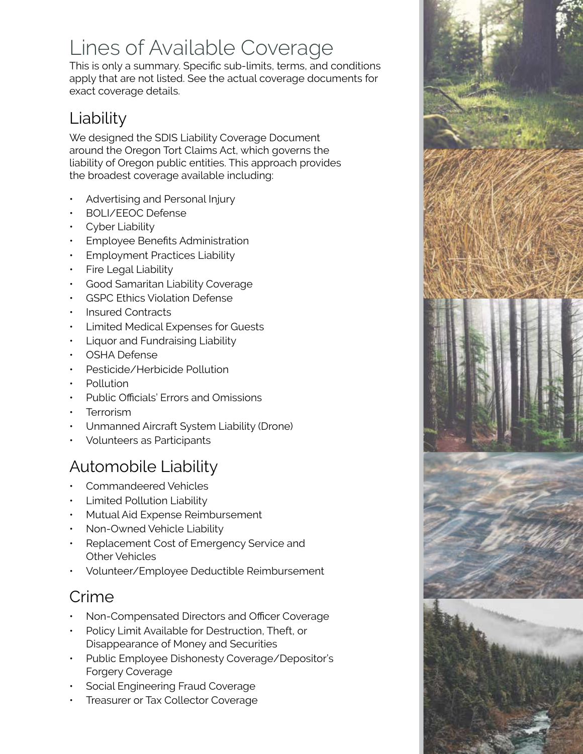# Lines of Available Coverage

This is only a summary. Specific sub-limits, terms, and conditions apply that are not listed. See the actual coverage documents for exact coverage details.

# Liability

We designed the SDIS Liability Coverage Document around the Oregon Tort Claims Act, which governs the liability of Oregon public entities. This approach provides the broadest coverage available including:

- Advertising and Personal Injury
- BOLI/EEOC Defense
- Cyber Liability
- Employee Benefits Administration
- Employment Practices Liability
- Fire Legal Liability
- Good Samaritan Liability Coverage
- GSPC Ethics Violation Defense
- Insured Contracts
- Limited Medical Expenses for Guests
- Liquor and Fundraising Liability
- OSHA Defense
- Pesticide/Herbicide Pollution
- Pollution
- Public Officials' Errors and Omissions
- **Terrorism**
- Unmanned Aircraft System Liability (Drone)
- Volunteers as Participants

# Automobile Liability

- Commandeered Vehicles
- Limited Pollution Liability
- Mutual Aid Expense Reimbursement
- Non-Owned Vehicle Liability
- Replacement Cost of Emergency Service and Other Vehicles
- Volunteer/Employee Deductible Reimbursement

# Crime

- Non-Compensated Directors and Officer Coverage
- Policy Limit Available for Destruction, Theft, or Disappearance of Money and Securities
- Public Employee Dishonesty Coverage/Depositor's Forgery Coverage
- Social Engineering Fraud Coverage
- Treasurer or Tax Collector Coverage

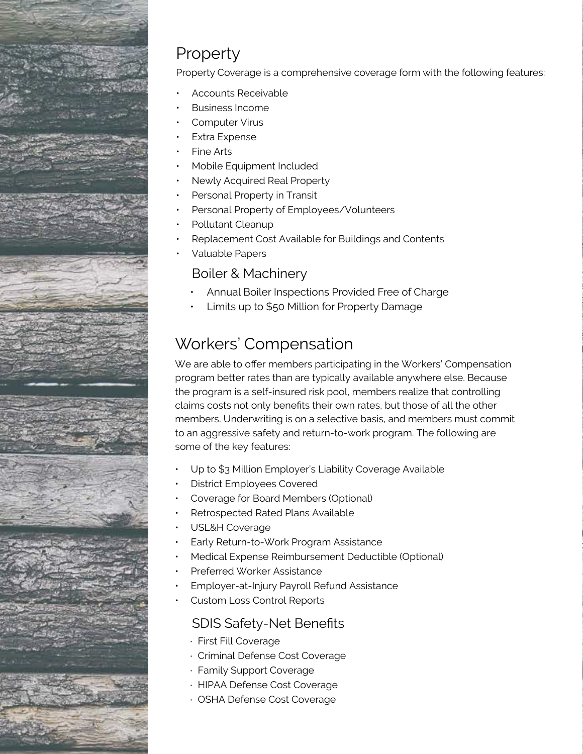

# Property

Property Coverage is a comprehensive coverage form with the following features:

- Accounts Receivable
- **PARTICIPATION ELIGIBILITY COOPERATION**
- Computer Virus is limited to membership is available to oregon special and SDAO membership is available to Oregon special and SDAO membership is available to Oregon special and SDAO membership is available to Oregon spec
- Extra Expense  $\cdot$  regional associations, state wide or  $\cdot$  and  $\cdot$  any other ment, or any other ment, or any other ment, or any other ment, or any other ment, or any other ment, or any other ment, or any other ment,
- $p$ ublic entity which qualifies as a political subdivision or municipal,  $q$  and  $q$  and  $q$  or  $q$ **Fine Arts**
- Mobile Equipment Included **Following sub-categories of memberships:**  $\blacksquare$
- Newly Acquired Real Property
- Personal Property in Transit **Exercise and regulated by Oregon Revised Statute Chapter 198. In the Chapter 198. In the Chapter 198. In the Chapter 198. In the Chapter 198. In the Chapter 198. In the Chapter 198. In the C**
- Personal Property of Employees/Volunteers
- Pollutant Cleanup
- Replacement Cost Available for Buildings and Contents<br>May also have a special district of the special district of the special district of the special district of th
- Valuable Papers

### Boiler & Machinery

- Annual Boiler Inspections Provided Free of Charge
- 190.003 to 190.110, and which does not act under the direction and control of any single member • Limits up to \$50 Million for Property Damage

#### $\mathbf b$ . Any state or regional associations of local government or any other public entities which  $\mathbf a$ Workers' Compensation or municipal, quasi-municipal or public corporations as those terms are  $\sim$

We are able to offer members participating in the Workers' Compensation program better rates than are typically available anywhere else. Because the program is a self-insured risk pool, members realize that controlling claims costs not only benefits their own rates, but those of all the other members. Underwriting is on a selective basis, and members must commit to an aggressive safety and return-to-work program. The following are some of the key features:

- $\cdot$  Up to \$3 Million Employer's Liability Coverage Available
- District Employees Covered
	- Coverage for Board Members (Optional)
- Properties and Dispersion and Liability and Liability and Liability and Liability and Liability and Liability and Liability and Liability and Liability and Liability and Liability and Liability and Liability and Liability • Retrospected Rated Plans Available<br>• Paral C
- USL&H Coverage
- Early Return-to-Work Program Assistance
- Yes, the processes and counties and counties and counties and counties and counties and counties and counties • Medical Expense Reimbursement Deductible (Optional)
- workers<br>American • Preferred Worker Assistance<br>———————————————————
- $\cdot$  Employer-at-Injury Payroll Refund Assistance
- Employee Benefits • Custom Loss Control Reports

### SDIS Safety-Net Benefits

- · First Fill Coverage
- · Criminal Defense Cost Coverage
- · Family Support Coverage
- · HIPAA Defense Cost Coverage
- · OSHA Defense Cost Coverage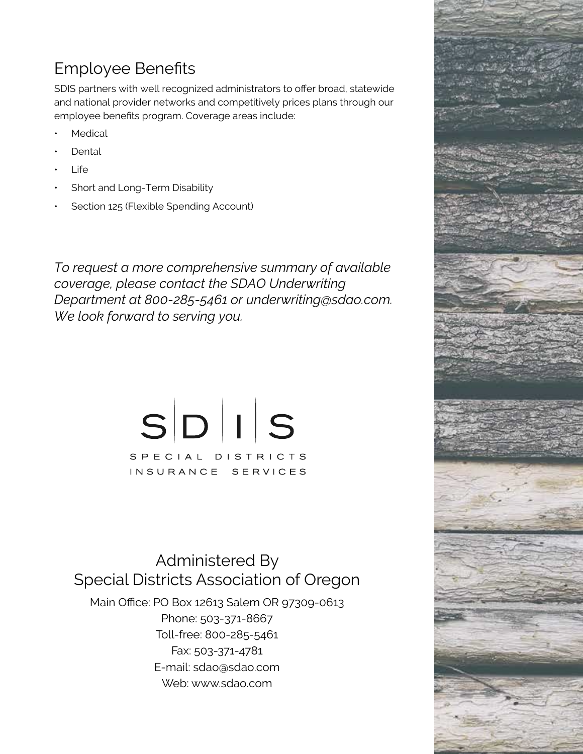# Employee Benefits

SDIS partners with well recognized administrators to offer broad, statewide and national provider networks and competitively prices plans through our employee benefits program. Coverage areas include:

- **Medical**
- **Dental**
- **Life**
- Short and Long-Term Disability
- Section 125 (Flexible Spending Account)

*To request a more comprehensive summary of available coverage, please contact the SDAO Underwriting Department at 800-285-5461 or underwriting@sdao.com. We look forward to serving you.*

> $S$  $D$  $||$  $S$ SPECIAL DISTRICTS INSURANCE SERVICES

Administered By Special Districts Association of Oregon

Main Office: PO Box 12613 Salem OR 97309-0613 Phone: 503-371-8667 Toll-free: 800-285-5461 Fax: 503-371-4781 E-mail: sdao@sdao.com Web: www.sdao.com